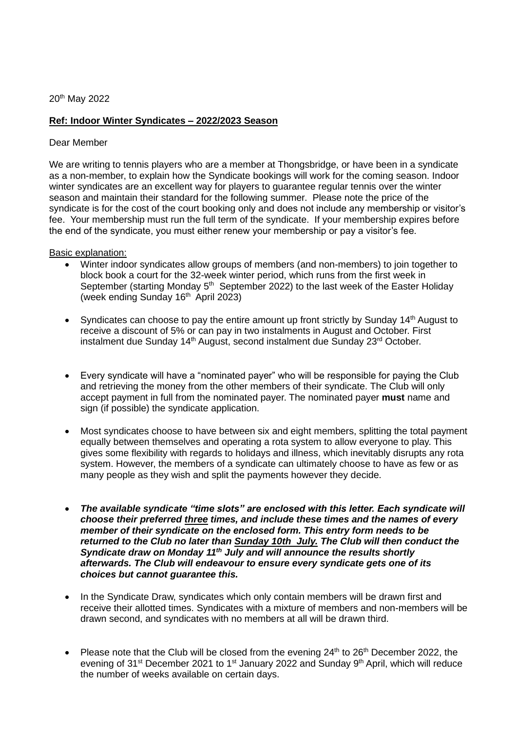### 20th May 2022

# **Ref: Indoor Winter Syndicates – 2022/2023 Season**

### Dear Member

We are writing to tennis players who are a member at Thongsbridge, or have been in a syndicate as a non-member, to explain how the Syndicate bookings will work for the coming season. Indoor winter syndicates are an excellent way for players to guarantee regular tennis over the winter season and maintain their standard for the following summer. Please note the price of the syndicate is for the cost of the court booking only and does not include any membership or visitor's fee. Your membership must run the full term of the syndicate. If your membership expires before the end of the syndicate, you must either renew your membership or pay a visitor's fee.

## Basic explanation:

- Winter indoor syndicates allow groups of members (and non-members) to join together to block book a court for the 32-week winter period, which runs from the first week in September (starting Monday 5<sup>th</sup> September 2022) to the last week of the Easter Holiday (week ending Sunday 16<sup>th</sup> April 2023)
- Syndicates can choose to pay the entire amount up front strictly by Sunday 14<sup>th</sup> August to receive a discount of 5% or can pay in two instalments in August and October. First instalment due Sunday 14<sup>th</sup> August, second instalment due Sunday 23<sup>rd</sup> October.
- Every syndicate will have a "nominated payer" who will be responsible for paying the Club and retrieving the money from the other members of their syndicate. The Club will only accept payment in full from the nominated payer. The nominated payer **must** name and sign (if possible) the syndicate application.
- Most syndicates choose to have between six and eight members, splitting the total payment equally between themselves and operating a rota system to allow everyone to play. This gives some flexibility with regards to holidays and illness, which inevitably disrupts any rota system. However, the members of a syndicate can ultimately choose to have as few or as many people as they wish and split the payments however they decide.
- *The available syndicate "time slots" are enclosed with this letter. Each syndicate will choose their preferred three times, and include these times and the names of every member of their syndicate on the enclosed form. This entry form needs to be returned to the Club no later than Sunday 10th July. The Club will then conduct the Syndicate draw on Monday 11 th July and will announce the results shortly afterwards. The Club will endeavour to ensure every syndicate gets one of its choices but cannot guarantee this.*
- In the Syndicate Draw, syndicates which only contain members will be drawn first and receive their allotted times. Syndicates with a mixture of members and non-members will be drawn second, and syndicates with no members at all will be drawn third.
- Please note that the Club will be closed from the evening 24<sup>th</sup> to 26<sup>th</sup> December 2022, the evening of 31<sup>st</sup> December 2021 to 1<sup>st</sup> January 2022 and Sunday 9<sup>th</sup> April, which will reduce the number of weeks available on certain days.